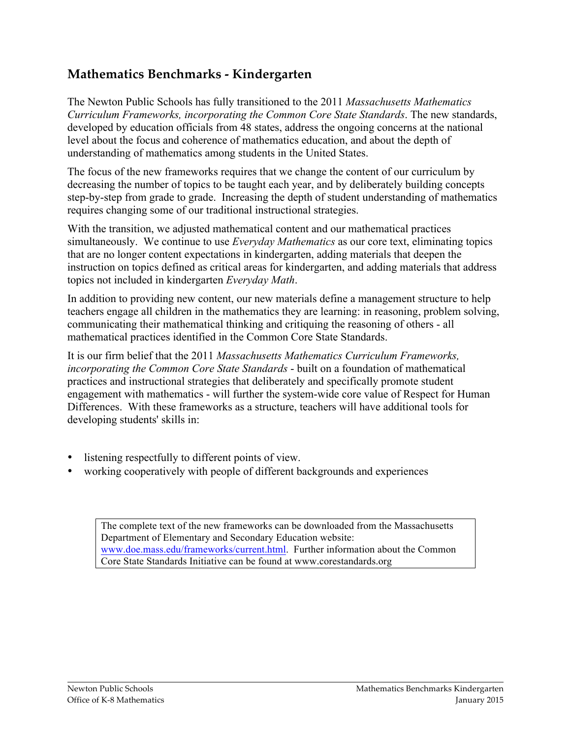# **Mathematics Benchmarks - Kindergarten**

The Newton Public Schools has fully transitioned to the 2011 *Massachusetts Mathematics Curriculum Frameworks, incorporating the Common Core State Standards*. The new standards, developed by education officials from 48 states, address the ongoing concerns at the national level about the focus and coherence of mathematics education, and about the depth of understanding of mathematics among students in the United States.

The focus of the new frameworks requires that we change the content of our curriculum by decreasing the number of topics to be taught each year, and by deliberately building concepts step-by-step from grade to grade. Increasing the depth of student understanding of mathematics requires changing some of our traditional instructional strategies.

With the transition, we adjusted mathematical content and our mathematical practices simultaneously. We continue to use *Everyday Mathematics* as our core text, eliminating topics that are no longer content expectations in kindergarten, adding materials that deepen the instruction on topics defined as critical areas for kindergarten, and adding materials that address topics not included in kindergarten *Everyday Math*.

In addition to providing new content, our new materials define a management structure to help teachers engage all children in the mathematics they are learning: in reasoning, problem solving, communicating their mathematical thinking and critiquing the reasoning of others - all mathematical practices identified in the Common Core State Standards.

It is our firm belief that the 2011 *Massachusetts Mathematics Curriculum Frameworks, incorporating the Common Core State Standards* - built on a foundation of mathematical practices and instructional strategies that deliberately and specifically promote student engagement with mathematics - will further the system-wide core value of Respect for Human Differences. With these frameworks as a structure, teachers will have additional tools for developing students' skills in:

- listening respectfully to different points of view.
- working cooperatively with people of different backgrounds and experiences

The complete text of the new frameworks can be downloaded from the Massachusetts Department of Elementary and Secondary Education website: www.doe.mass.edu/frameworks/current.html. Further information about the Common Core State Standards Initiative can be found at www.corestandards.org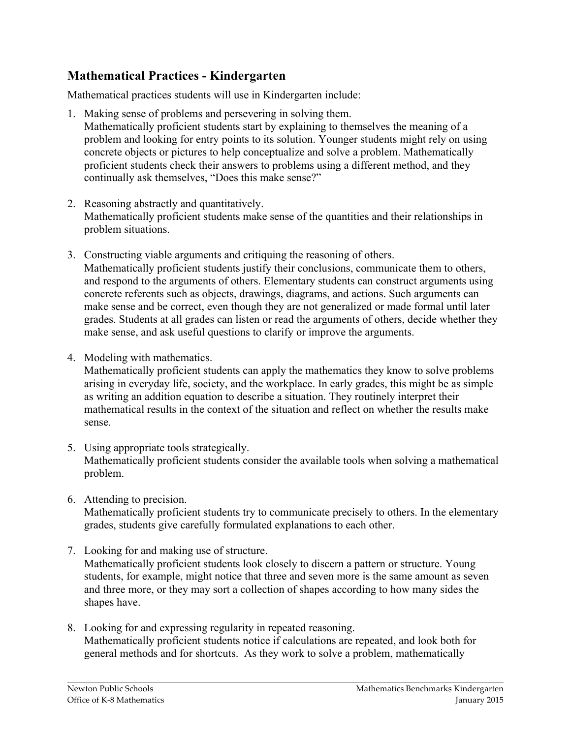# **Mathematical Practices - Kindergarten**

Mathematical practices students will use in Kindergarten include:

1. Making sense of problems and persevering in solving them.

Mathematically proficient students start by explaining to themselves the meaning of a problem and looking for entry points to its solution. Younger students might rely on using concrete objects or pictures to help conceptualize and solve a problem. Mathematically proficient students check their answers to problems using a different method, and they continually ask themselves, "Does this make sense?"

- 2. Reasoning abstractly and quantitatively. Mathematically proficient students make sense of the quantities and their relationships in problem situations.
- 3. Constructing viable arguments and critiquing the reasoning of others. Mathematically proficient students justify their conclusions, communicate them to others, and respond to the arguments of others. Elementary students can construct arguments using concrete referents such as objects, drawings, diagrams, and actions. Such arguments can make sense and be correct, even though they are not generalized or made formal until later grades. Students at all grades can listen or read the arguments of others, decide whether they make sense, and ask useful questions to clarify or improve the arguments.
- 4. Modeling with mathematics.

Mathematically proficient students can apply the mathematics they know to solve problems arising in everyday life, society, and the workplace. In early grades, this might be as simple as writing an addition equation to describe a situation. They routinely interpret their mathematical results in the context of the situation and reflect on whether the results make sense.

- 5. Using appropriate tools strategically. Mathematically proficient students consider the available tools when solving a mathematical problem.
- 6. Attending to precision.

Mathematically proficient students try to communicate precisely to others. In the elementary grades, students give carefully formulated explanations to each other.

- 7. Looking for and making use of structure. Mathematically proficient students look closely to discern a pattern or structure. Young students, for example, might notice that three and seven more is the same amount as seven and three more, or they may sort a collection of shapes according to how many sides the shapes have.
- 8. Looking for and expressing regularity in repeated reasoning. Mathematically proficient students notice if calculations are repeated, and look both for general methods and for shortcuts. As they work to solve a problem, mathematically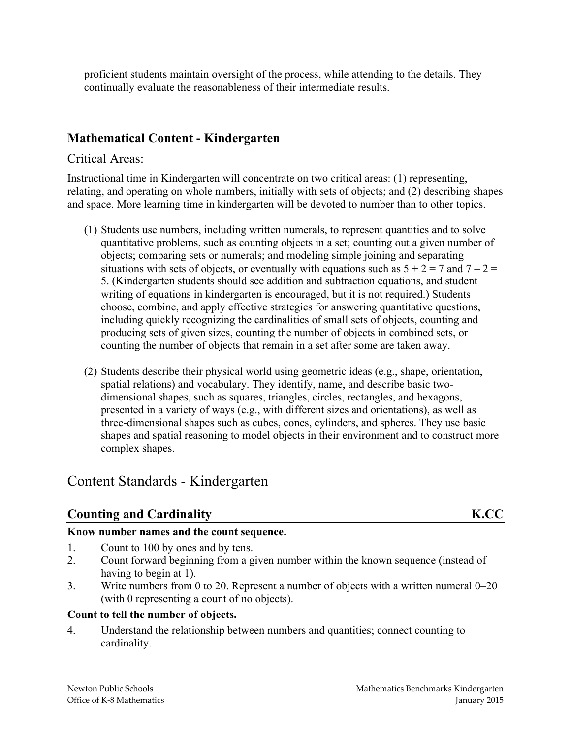proficient students maintain oversight of the process, while attending to the details. They continually evaluate the reasonableness of their intermediate results.

# **Mathematical Content - Kindergarten**

### Critical Areas:

Instructional time in Kindergarten will concentrate on two critical areas: (1) representing, relating, and operating on whole numbers, initially with sets of objects; and (2) describing shapes and space. More learning time in kindergarten will be devoted to number than to other topics.

- (1) Students use numbers, including written numerals, to represent quantities and to solve quantitative problems, such as counting objects in a set; counting out a given number of objects; comparing sets or numerals; and modeling simple joining and separating situations with sets of objects, or eventually with equations such as  $5 + 2 = 7$  and  $7 - 2 = 7$ 5. (Kindergarten students should see addition and subtraction equations, and student writing of equations in kindergarten is encouraged, but it is not required.) Students choose, combine, and apply effective strategies for answering quantitative questions, including quickly recognizing the cardinalities of small sets of objects, counting and producing sets of given sizes, counting the number of objects in combined sets, or counting the number of objects that remain in a set after some are taken away.
- (2) Students describe their physical world using geometric ideas (e.g., shape, orientation, spatial relations) and vocabulary. They identify, name, and describe basic twodimensional shapes, such as squares, triangles, circles, rectangles, and hexagons, presented in a variety of ways (e.g., with different sizes and orientations), as well as three-dimensional shapes such as cubes, cones, cylinders, and spheres. They use basic shapes and spatial reasoning to model objects in their environment and to construct more complex shapes.

# Content Standards - Kindergarten

# **Counting and Cardinality K.CC**

#### **Know number names and the count sequence.**

- 1. Count to 100 by ones and by tens.
- 2. Count forward beginning from a given number within the known sequence (instead of having to begin at 1).
- 3. Write numbers from 0 to 20. Represent a number of objects with a written numeral 0–20 (with 0 representing a count of no objects).

#### **Count to tell the number of objects.**

4. Understand the relationship between numbers and quantities; connect counting to cardinality.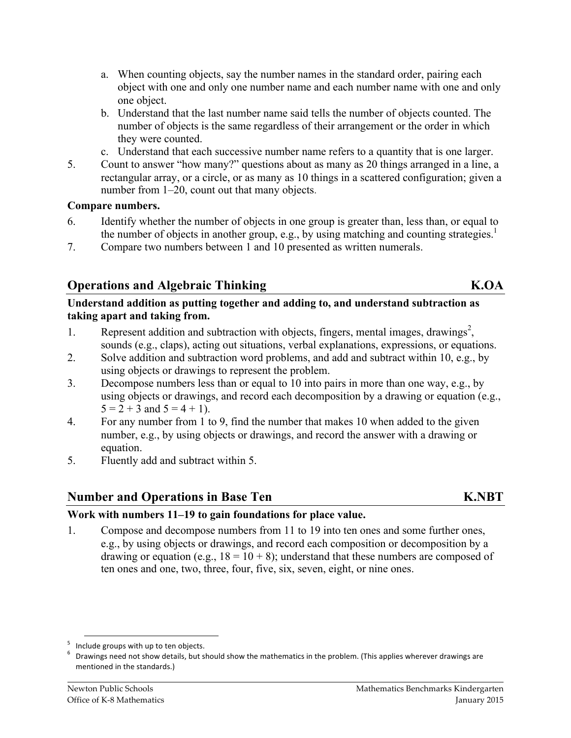- a. When counting objects, say the number names in the standard order, pairing each object with one and only one number name and each number name with one and only one object.
- b. Understand that the last number name said tells the number of objects counted. The number of objects is the same regardless of their arrangement or the order in which they were counted.
- c. Understand that each successive number name refers to a quantity that is one larger.
- 5. Count to answer "how many?" questions about as many as 20 things arranged in a line, a rectangular array, or a circle, or as many as 10 things in a scattered configuration; given a number from 1–20, count out that many objects.

#### **Compare numbers.**

- 6. Identify whether the number of objects in one group is greater than, less than, or equal to the number of objects in another group, e.g., by using matching and counting strategies.<sup>1</sup>
- 7. Compare two numbers between 1 and 10 presented as written numerals.

## **Operations and Algebraic Thinking K.OA**

#### **Understand addition as putting together and adding to, and understand subtraction as taking apart and taking from.**

- 1. Represent addition and subtraction with objects, fingers, mental images, drawings<sup>2</sup>, sounds (e.g., claps), acting out situations, verbal explanations, expressions, or equations.
- 2. Solve addition and subtraction word problems, and add and subtract within 10, e.g., by using objects or drawings to represent the problem.
- 3. Decompose numbers less than or equal to 10 into pairs in more than one way, e.g., by using objects or drawings, and record each decomposition by a drawing or equation (e.g.,  $5 = 2 + 3$  and  $5 = 4 + 1$ ).
- 4. For any number from 1 to 9, find the number that makes 10 when added to the given number, e.g., by using objects or drawings, and record the answer with a drawing or equation.
- 5. Fluently add and subtract within 5.

#### **Number and Operations in Base Ten K.NBT**

#### **Work with numbers 11–19 to gain foundations for place value.**

1. Compose and decompose numbers from 11 to 19 into ten ones and some further ones, e.g., by using objects or drawings, and record each composition or decomposition by a drawing or equation (e.g.,  $18 = 10 + 8$ ); understand that these numbers are composed of ten ones and one, two, three, four, five, six, seven, eight, or nine ones.

<sup>&</sup>lt;sup>5</sup> Include groups with up to ten objects.<br>
<sup>6</sup> Drawings need not show details, but should show the mathematics in the problem. (This applies wherever drawings are mentioned in the standards.)